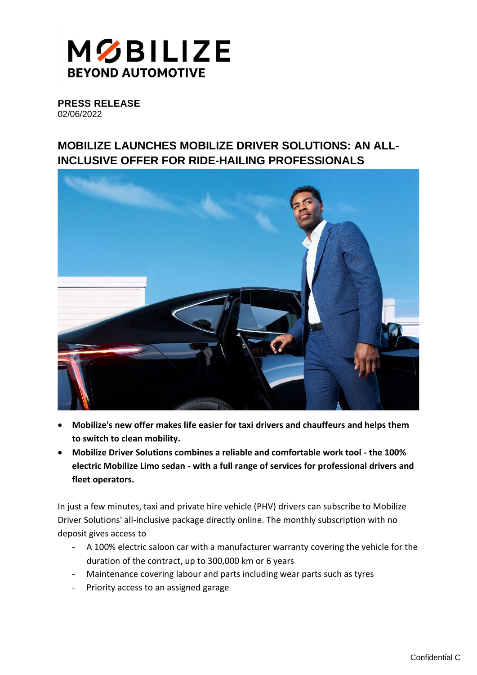

**PRESS RELEASE** 02/06/2022

## **MOBILIZE LAUNCHES MOBILIZE DRIVER SOLUTIONS: AN ALL-INCLUSIVE OFFER FOR RIDE-HAILING PROFESSIONALS**



- **Mobilize's new offer makes life easier for taxi drivers and chauffeurs and helps them to switch to clean mobility.**
- **Mobilize Driver Solutions combines a reliable and comfortable work tool - the 100% electric Mobilize Limo sedan - with a full range of services for professional drivers and fleet operators.**

In just a few minutes, taxi and private hire vehicle (PHV) drivers can subscribe to Mobilize Driver Solutions' all-inclusive package directly online. The monthly subscription with no deposit gives access to

- A 100% electric saloon car with a manufacturer warranty covering the vehicle for the duration of the contract, up to 300,000 km or 6 years
- Maintenance covering labour and parts including wear parts such as tyres
- Priority access to an assigned garage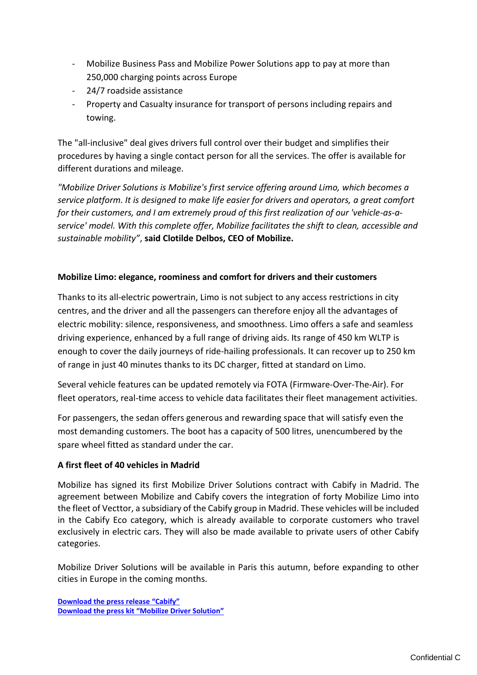- Mobilize Business Pass and Mobilize Power Solutions app to pay at more than 250,000 charging points across Europe
- 24/7 roadside assistance
- Property and Casualty insurance for transport of persons including repairs and towing.

The "all-inclusive" deal gives drivers full control over their budget and simplifies their procedures by having a single contact person for all the services. The offer is available for different durations and mileage.

*"Mobilize Driver Solutions is Mobilize's first service offering around Limo, which becomes a service platform. It is designed to make life easier for drivers and operators, a great comfort for their customers, and I am extremely proud of this first realization of our 'vehicle-as-aservice' model. With this complete offer, Mobilize facilitates the shift to clean, accessible and sustainable mobility"*, **said Clotilde Delbos, CEO of Mobilize.**

## **Mobilize Limo: elegance, roominess and comfort for drivers and their customers**

Thanks to its all-electric powertrain, Limo is not subject to any access restrictions in city centres, and the driver and all the passengers can therefore enjoy all the advantages of electric mobility: silence, responsiveness, and smoothness. Limo offers a safe and seamless driving experience, enhanced by a full range of driving aids. Its range of 450 km WLTP is enough to cover the daily journeys of ride-hailing professionals. It can recover up to 250 km of range in just 40 minutes thanks to its DC charger, fitted at standard on Limo.

Several vehicle features can be updated remotely via FOTA (Firmware-Over-The-Air). For fleet operators, real-time access to vehicle data facilitates their fleet management activities.

For passengers, the sedan offers generous and rewarding space that will satisfy even the most demanding customers. The boot has a capacity of 500 litres, unencumbered by the spare wheel fitted as standard under the car.

## **A first fleet of 40 vehicles in Madrid**

Mobilize has signed its first Mobilize Driver Solutions contract with Cabify in Madrid. The agreement between Mobilize and Cabify covers the integration of forty Mobilize Limo into the fleet of Vecttor, a subsidiary of the Cabify group in Madrid. These vehicles will be included in the Cabify Eco category, which is already available to corporate customers who travel exclusively in electric cars. They will also be made available to private users of other Cabify categories.

Mobilize Driver Solutions will be available in Paris this autumn, before expanding to other cities in Europe in the coming months.